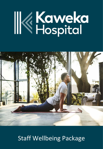# **Kaweka**<br>Kepital



# Staff Wellbeing Package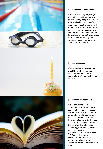

#### $\mathbb{R}$ **Better for You and Yours**

We know that being physically fit and well is incredibly important to staying healthy, not just for you but your family also. We'll therefore provide up to \$300 a year towards something that's important to you or your family. Perhaps it's a gym membership, or swimming lessons for the kids, or maybe there's a yoga retreat you have your eye on. Whatever makes it better for you, we're here to support it!

#### $\mathbb{R}$ **Birthday Leave**

It's the one day of the year that should be all about you! We'll provide a day of paid leave which you can take within a week of your birthday.

#### $\mathbb{R}$ **Making it Better Goals**

We're passionate about continuous improvement. If you see something you can improve (perhaps a process or procedure) or want to upskill in something that will add benefit to Kaweka Hospital and its patients, then you can write that into your KPIs for the year. We'd love to discuss supporting/contributing to your project. As an example, you could undertake and achieve a Te Reo qualification which makes it better for you to engage with our Māori patients and whanau to better understand their needs.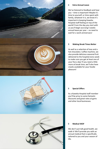

#### $\mathbb{R}$ **Extra Annual Leave**

We've listened to feedback and hear you – time is important! Maybe it's time to yourself, or time spent with family, whatever it is, we know it's important in keeping Kaweka Hospital staff feeling on top of the world! From the day you start with us you'll begin accruing 5 weeks annual leave per year – no need to wait for a work anniversary!

#### $\mathbb{R}$ **Making Break Times Better**

As well as a selection of teas and a hot chocolate / coffee machine, we also provide delicious seasonal fruit delivered to the hospital every week to make sure you get at least one of your five a day! If you need a little more at break time, we'll also have snacks available for your foodie pleasure!

#### $\mathbb{R}$ **Special Offers**

As a Kaweka Hospital staff member you'll be privy to some fantastic discounts and great rates at gyms and other local businesses.

#### $\mathbb{R}$ **Medical WOF**

We don't just talk good health, we walk it! We'll provide you with an annual medical that is specifically tailored to you and your season of life.